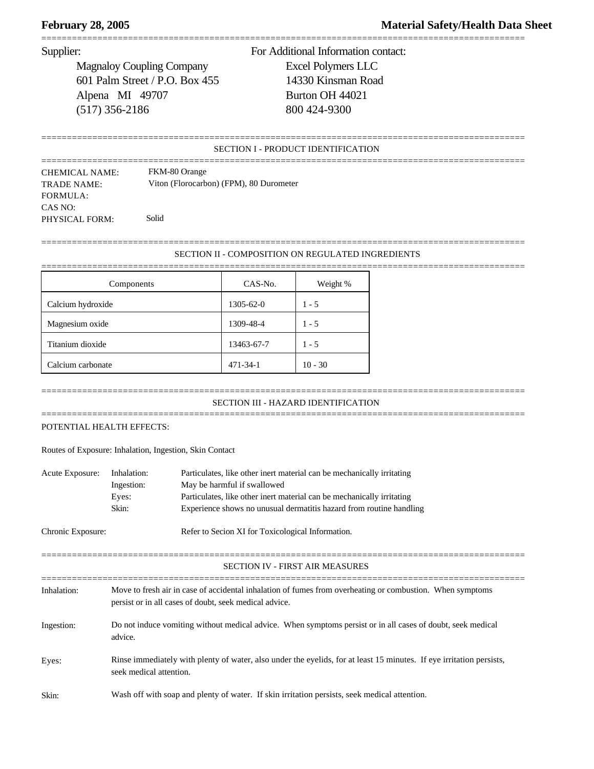Magnaloy Coupling Company Excel Polymers LLC 601 Palm Street / P.O. Box 455 14330 Kinsman Road Alpena MI 49707 Burton OH 44021 (517) 356-2186 800 424-9300

Supplier: For Additional Information contact:

# SECTION I - PRODUCT IDENTIFICATION

===============================================================================================

===============================================================================================

=============================================================================================== CHEMICAL NAME: FKM-80 Orange TRADE NAME: Viton (Florocarbon) (FPM), 80 Durometer FORMULA: CAS NO: PHYSICAL FORM: Solid

# =============================================================================================== SECTION II - COMPOSITION ON REGULATED INGREDIENTS

===============================================================================================

| Components        | CAS-No.        | Weight %  |
|-------------------|----------------|-----------|
| Calcium hydroxide | 1305-62-0      | $1 - 5$   |
| Magnesium oxide   | 1309-48-4      | $1 - 5$   |
| Titanium dioxide  | 13463-67-7     | $1 - 5$   |
| Calcium carbonate | $471 - 34 - 1$ | $10 - 30$ |

### =============================================================================================== SECTION III - HAZARD IDENTIFICATION

===============================================================================================

# POTENTIAL HEALTH EFFECTS:

Routes of Exposure: Inhalation, Ingestion, Skin Contact

| Acute Exposure:   | Inhalation:<br>Ingestion:<br>Eyes:<br>Skin:                                                                                                                         | Particulates, like other inert material can be mechanically irritating<br>May be harmful if swallowed<br>Particulates, like other inert material can be mechanically irritating<br>Experience shows no unusual dermatitis hazard from routine handling |
|-------------------|---------------------------------------------------------------------------------------------------------------------------------------------------------------------|--------------------------------------------------------------------------------------------------------------------------------------------------------------------------------------------------------------------------------------------------------|
| Chronic Exposure: | Refer to Secion XI for Toxicological Information.                                                                                                                   |                                                                                                                                                                                                                                                        |
|                   |                                                                                                                                                                     | <b>SECTION IV - FIRST AIR MEASURES</b>                                                                                                                                                                                                                 |
| Inhalation:       | Move to fresh air in case of accidental inhalation of fumes from overheating or combustion. When symptoms<br>persist or in all cases of doubt, seek medical advice. |                                                                                                                                                                                                                                                        |
| Ingestion:        | Do not induce vomiting without medical advice. When symptoms persist or in all cases of doubt, seek medical<br>advice.                                              |                                                                                                                                                                                                                                                        |
| Eyes:             | Rinse immediately with plenty of water, also under the eyelids, for at least 15 minutes. If eye irritation persists,<br>seek medical attention.                     |                                                                                                                                                                                                                                                        |
| Skin:             | Wash off with soap and plenty of water. If skin irritation persists, seek medical attention.                                                                        |                                                                                                                                                                                                                                                        |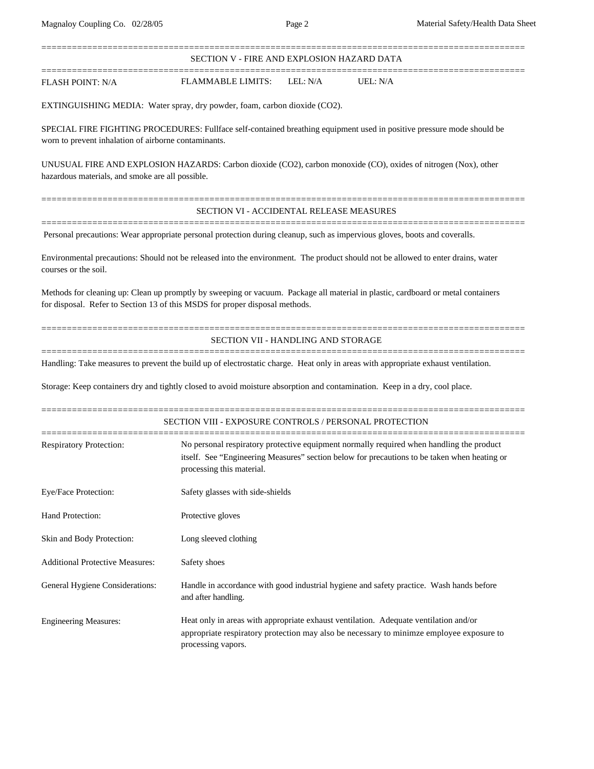| Magnaloy Coupling Co. 02/28/05                                                                                                    |                                                 | Page 2   | Material Safety/Health Data Sheet                                                                                                                                                        |
|-----------------------------------------------------------------------------------------------------------------------------------|-------------------------------------------------|----------|------------------------------------------------------------------------------------------------------------------------------------------------------------------------------------------|
|                                                                                                                                   | SECTION V - FIRE AND EXPLOSION HAZARD DATA      |          |                                                                                                                                                                                          |
| <b>FLASH POINT: N/A</b>                                                                                                           | <b>FLAMMABLE LIMITS:</b>                        | LEL: N/A | UEL: N/A                                                                                                                                                                                 |
| EXTINGUISHING MEDIA: Water spray, dry powder, foam, carbon dioxide (CO2).                                                         |                                                 |          |                                                                                                                                                                                          |
| worn to prevent inhalation of airborne contaminants.                                                                              |                                                 |          | SPECIAL FIRE FIGHTING PROCEDURES: Fullface self-contained breathing equipment used in positive pressure mode should be                                                                   |
| hazardous materials, and smoke are all possible.                                                                                  |                                                 |          | UNUSUAL FIRE AND EXPLOSION HAZARDS: Carbon dioxide (CO2), carbon monoxide (CO), oxides of nitrogen (Nox), other                                                                          |
|                                                                                                                                   | <b>SECTION VI - ACCIDENTAL RELEASE MEASURES</b> |          |                                                                                                                                                                                          |
|                                                                                                                                   |                                                 |          | Personal precautions: Wear appropriate personal protection during cleanup, such as impervious gloves, boots and coveralls.                                                               |
| courses or the soil.                                                                                                              |                                                 |          | Environmental precautions: Should not be released into the environment. The product should not be allowed to enter drains, water                                                         |
| for disposal. Refer to Section 13 of this MSDS for proper disposal methods.                                                       |                                                 |          | Methods for cleaning up: Clean up promptly by sweeping or vacuum. Package all material in plastic, cardboard or metal containers                                                         |
|                                                                                                                                   | SECTION VII - HANDLING AND STORAGE              |          |                                                                                                                                                                                          |
| Handling: Take measures to prevent the build up of electrostatic charge. Heat only in areas with appropriate exhaust ventilation. |                                                 |          |                                                                                                                                                                                          |
| Storage: Keep containers dry and tightly closed to avoid moisture absorption and contamination. Keep in a dry, cool place.        |                                                 |          |                                                                                                                                                                                          |
| SECTION VIII - EXPOSURE CONTROLS / PERSONAL PROTECTION                                                                            |                                                 |          |                                                                                                                                                                                          |
| <b>Respiratory Protection:</b>                                                                                                    | processing this material.                       |          | No personal respiratory protective equipment normally required when handling the product<br>itself. See "Engineering Measures" section below for precautions to be taken when heating or |
| Eye/Face Protection:                                                                                                              | Safety glasses with side-shields                |          |                                                                                                                                                                                          |
| Hand Protection:<br>Protective gloves                                                                                             |                                                 |          |                                                                                                                                                                                          |

General Hygiene Considerations: Handle in accordance with good industrial hygiene and safety practice. Wash hands before

appropriate respiratory protection may also be necessary to minimze employee exposure to

Engineering Measures: Heat only in areas with appropriate exhaust ventilation. Adequate ventilation and/or

and after handling.

processing vapors.

Skin and Body Protection: Long sleeved clothing

Additional Protective Measures: Safety shoes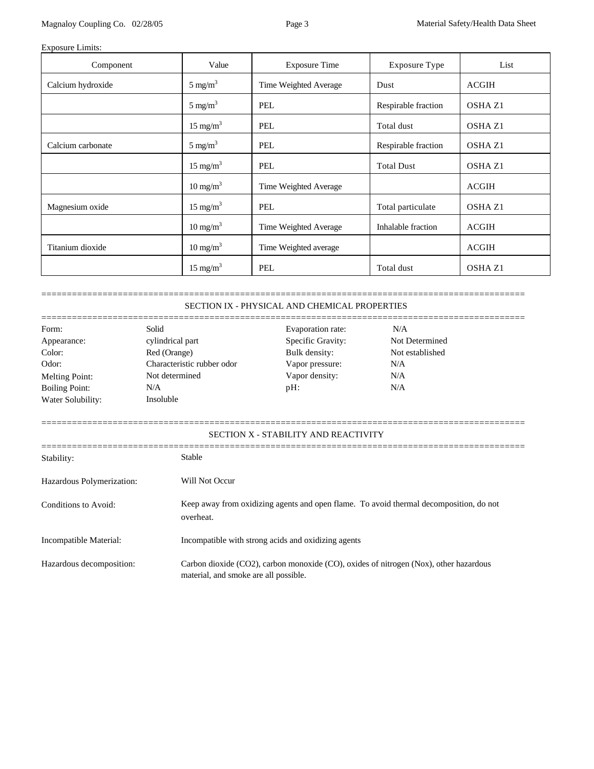# Exposure Limits:

| Component         | Value               | <b>Exposure Time</b>  | <b>Exposure Type</b> | List               |
|-------------------|---------------------|-----------------------|----------------------|--------------------|
| Calcium hydroxide | $5 \text{ mg/m}^3$  | Time Weighted Average | Dust                 | <b>ACGIH</b>       |
|                   | $5 \text{ mg/m}^3$  | <b>PEL</b>            | Respirable fraction  | OSHA <sub>Z1</sub> |
|                   | $15 \text{ mg/m}^3$ | PEL                   | Total dust           | OSHA Z1            |
| Calcium carbonate | $5 \text{ mg/m}^3$  | PEL                   | Respirable fraction  | OSHA Z1            |
|                   | $15 \text{ mg/m}^3$ | <b>PEL</b>            | <b>Total Dust</b>    | OSHA <sub>Z1</sub> |
|                   | $10 \text{ mg/m}^3$ | Time Weighted Average |                      | <b>ACGIH</b>       |
| Magnesium oxide   | $15 \text{ mg/m}^3$ | PEL                   | Total particulate    | OSHA Z1            |
|                   | $10 \text{ mg/m}^3$ | Time Weighted Average | Inhalable fraction   | <b>ACGIH</b>       |
| Titanium dioxide  | $10 \text{ mg/m}^3$ | Time Weighted average |                      | <b>ACGIH</b>       |
|                   | $15 \text{ mg/m}^3$ | <b>PEL</b>            | Total dust           | <b>OSHA Z1</b>     |

=============================================================================================== SECTION IX - PHYSICAL AND CHEMICAL PROPERTIES

| Form:                                   | Solid                                                                                               | Evaporation rate:                                                                                                              | N/A             |
|-----------------------------------------|-----------------------------------------------------------------------------------------------------|--------------------------------------------------------------------------------------------------------------------------------|-----------------|
| Appearance:                             | cylindrical part                                                                                    | Specific Gravity:                                                                                                              | Not Determined  |
| Color:                                  | Red (Orange)                                                                                        | Bulk density:                                                                                                                  | Not established |
| Odor:                                   | Characteristic rubber odor                                                                          | Vapor pressure:                                                                                                                | N/A             |
| <b>Melting Point:</b>                   | Not determined                                                                                      | Vapor density:                                                                                                                 | N/A             |
| <b>Boiling Point:</b>                   | N/A                                                                                                 | $pH$ :                                                                                                                         | N/A             |
| Water Solubility:                       | Insoluble                                                                                           |                                                                                                                                |                 |
| Stability:<br>Hazardous Polymerization: | <b>Stable</b><br>Will Not Occur                                                                     | SECTION X - STABILITY AND REACTIVITY                                                                                           |                 |
| Conditions to Avoid:                    | Keep away from oxidizing agents and open flame. To avoid thermal decomposition, do not<br>overheat. |                                                                                                                                |                 |
| Incompatible Material:                  |                                                                                                     | Incompatible with strong acids and oxidizing agents                                                                            |                 |
| Hazardous decomposition:                |                                                                                                     | Carbon dioxide (CO2), carbon monoxide (CO), oxides of nitrogen (Nox), other hazardous<br>material, and smoke are all possible. |                 |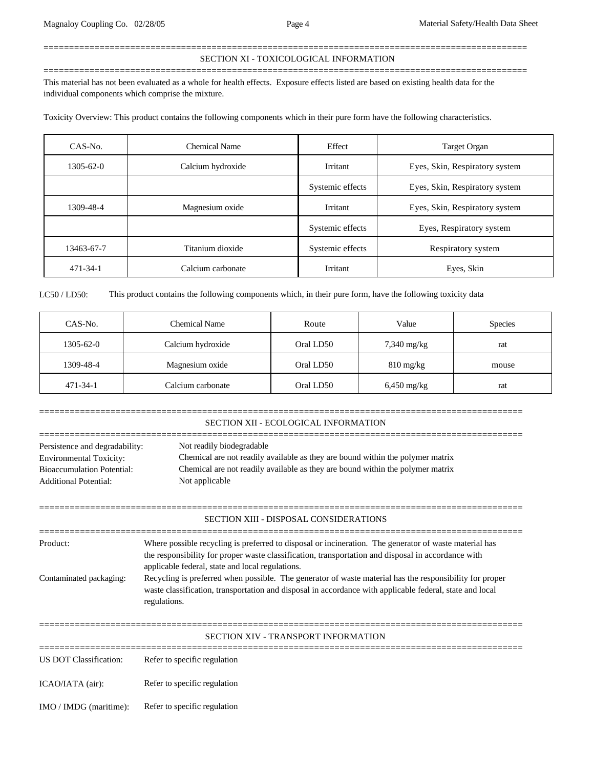# =============================================================================================== SECTION XI - TOXICOLOGICAL INFORMATION

This material has not been evaluated as a whole for health effects. Exposure effects listed are based on existing health data for the individual components which comprise the mixture.

===============================================================================================

Toxicity Overview: This product contains the following components which in their pure form have the following characteristics.

| $CAS-N0$ .     | Chemical Name     | Effect           | Target Organ                   |
|----------------|-------------------|------------------|--------------------------------|
| 1305-62-0      | Calcium hydroxide | Irritant         | Eyes, Skin, Respiratory system |
|                |                   | Systemic effects | Eyes, Skin, Respiratory system |
| 1309-48-4      | Magnesium oxide   | Irritant         | Eyes, Skin, Respiratory system |
|                |                   | Systemic effects | Eyes, Respiratory system       |
| 13463-67-7     | Titanium dioxide  | Systemic effects | Respiratory system             |
| $471 - 34 - 1$ | Calcium carbonate | Irritant         | Eyes, Skin                     |

LC50 / LD50: This product contains the following components which, in their pure form, have the following toxicity data

| CAS-No.         | Chemical Name     | Route     | Value               | <b>Species</b> |
|-----------------|-------------------|-----------|---------------------|----------------|
| $1305 - 62 - 0$ | Calcium hydroxide | Oral LD50 | $7,340$ mg/kg       | rat            |
| 1309-48-4       | Magnesium oxide   | Oral LD50 | $810 \text{ mg/kg}$ | mouse          |
| $471 - 34 - 1$  | Calcium carbonate | Oral LD50 | $6,450$ mg/kg       | rat            |

|                                                                                                                                                                                                                                                                                                                                                          | SECTION XII - ECOLOGICAL INFORMATION                                                                                                                                                                                                                                                                                                                                                                                                                                                                    |  |
|----------------------------------------------------------------------------------------------------------------------------------------------------------------------------------------------------------------------------------------------------------------------------------------------------------------------------------------------------------|---------------------------------------------------------------------------------------------------------------------------------------------------------------------------------------------------------------------------------------------------------------------------------------------------------------------------------------------------------------------------------------------------------------------------------------------------------------------------------------------------------|--|
| Not readily biodegradable<br>Persistence and degradability:<br>Chemical are not readily available as they are bound within the polymer matrix<br><b>Environmental Toxicity:</b><br>Chemical are not readily available as they are bound within the polymer matrix<br><b>Bioaccumulation Potential:</b><br>Not applicable<br><b>Additional Potential:</b> |                                                                                                                                                                                                                                                                                                                                                                                                                                                                                                         |  |
|                                                                                                                                                                                                                                                                                                                                                          | <b>SECTION XIII - DISPOSAL CONSIDERATIONS</b>                                                                                                                                                                                                                                                                                                                                                                                                                                                           |  |
| Product:<br>Contaminated packaging:                                                                                                                                                                                                                                                                                                                      | Where possible recycling is preferred to disposal or incineration. The generator of waste material has<br>the responsibility for proper waste classification, transportation and disposal in accordance with<br>applicable federal, state and local regulations.<br>Recycling is preferred when possible. The generator of waste material has the responsibility for proper<br>waste classification, transportation and disposal in accordance with applicable federal, state and local<br>regulations. |  |
|                                                                                                                                                                                                                                                                                                                                                          | <b>SECTION XIV - TRANSPORT INFORMATION</b>                                                                                                                                                                                                                                                                                                                                                                                                                                                              |  |
| US DOT Classification:                                                                                                                                                                                                                                                                                                                                   | Refer to specific regulation                                                                                                                                                                                                                                                                                                                                                                                                                                                                            |  |
| ICAO/IATA (air):                                                                                                                                                                                                                                                                                                                                         | Refer to specific regulation                                                                                                                                                                                                                                                                                                                                                                                                                                                                            |  |
| IMO / IMDG (maritime):                                                                                                                                                                                                                                                                                                                                   | Refer to specific regulation                                                                                                                                                                                                                                                                                                                                                                                                                                                                            |  |